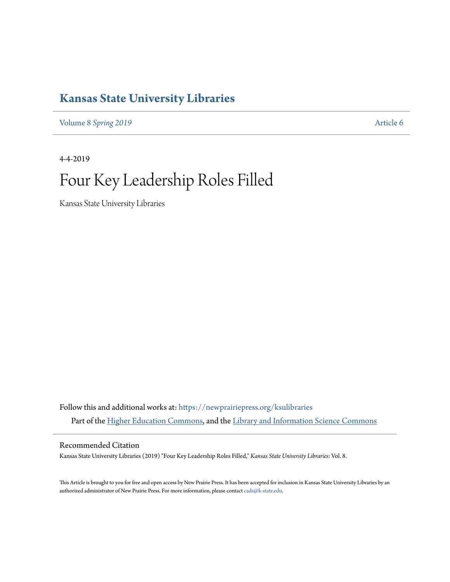## **[Kansas State University Libraries](https://newprairiepress.org/ksulibraries?utm_source=newprairiepress.org%2Fksulibraries%2Fvol8%2Fiss1%2F6&utm_medium=PDF&utm_campaign=PDFCoverPages)**

Volume 8 [Spring 2019](https://newprairiepress.org/ksulibraries/vol8?utm_source=newprairiepress.org%2Fksulibraries%2Fvol8%2Fiss1%2F6&utm_medium=PDF&utm_campaign=PDFCoverPages) **[Article 6](https://newprairiepress.org/ksulibraries/vol8/iss1/6?utm_source=newprairiepress.org%2Fksulibraries%2Fvol8%2Fiss1%2F6&utm_medium=PDF&utm_campaign=PDFCoverPages)** 

4-4-2019

# Four Key Leadership Roles Filled

Kansas State University Libraries

Follow this and additional works at: [https://newprairiepress.org/ksulibraries](https://newprairiepress.org/ksulibraries?utm_source=newprairiepress.org%2Fksulibraries%2Fvol8%2Fiss1%2F6&utm_medium=PDF&utm_campaign=PDFCoverPages) Part of the [Higher Education Commons](http://network.bepress.com/hgg/discipline/1245?utm_source=newprairiepress.org%2Fksulibraries%2Fvol8%2Fiss1%2F6&utm_medium=PDF&utm_campaign=PDFCoverPages), and the [Library and Information Science Commons](http://network.bepress.com/hgg/discipline/1018?utm_source=newprairiepress.org%2Fksulibraries%2Fvol8%2Fiss1%2F6&utm_medium=PDF&utm_campaign=PDFCoverPages)

Recommended Citation

Kansas State University Libraries (2019) "Four Key Leadership Roles Filled," *Kansas State University Libraries*: Vol. 8.

This Article is brought to you for free and open access by New Prairie Press. It has been accepted for inclusion in Kansas State University Libraries by an authorized administrator of New Prairie Press. For more information, please contact [cads@k-state.edu.](mailto:cads@k-state.edu)